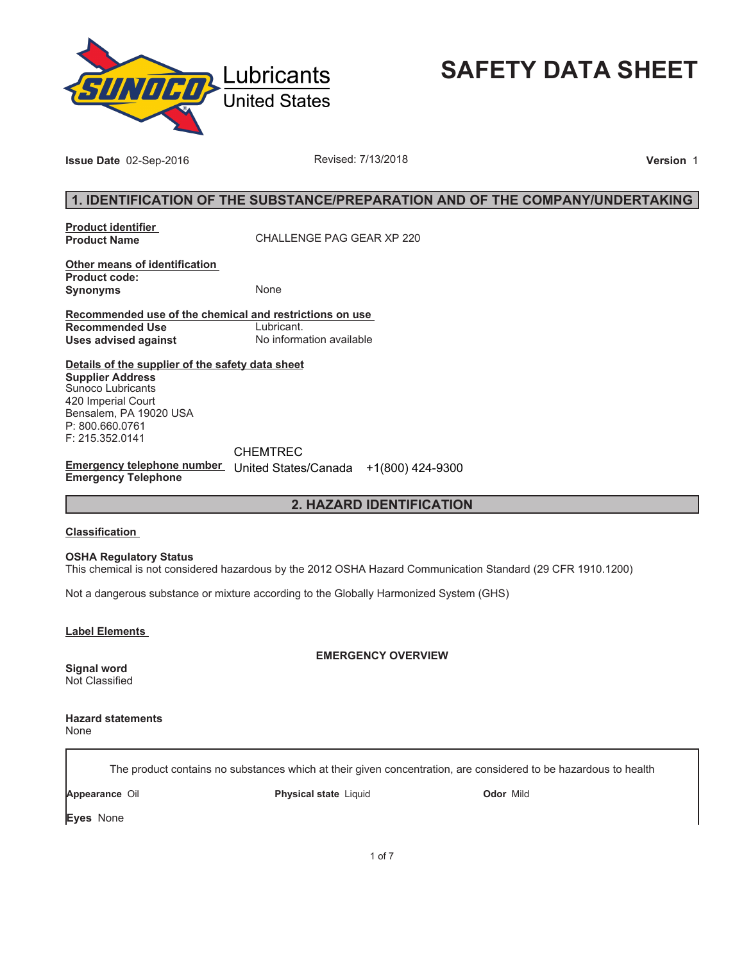

**SAFETY DATA SHEET**

**Issue Date** 02-Sep-2016 **Revised: 7/13/2018 Proposed: 7/13/2018 Version** 1

# **1. IDENTIFICATION OF THE SUBSTANCE/PREPARATION AND OF THE COMPANY/UNDERTAKING**

**Product identifier** 

**Product Name** CHALLENGE PAG GEAR XP 220

**Other means of identification Product code: Synonyms** None

**Recommended use of the chemical and restrictions on use Recommended Use<br>Uses advised against Uses advised against** No information available

**Details of the supplier of the safety data sheet Supplier Address** Sunoco Lubricants 420 Imperial Court Bensalem, PA 19020 USA P: 800.660.0761 F: 215.352.0141

**Emergency telephone number**  United States/Canada +1(800) 424-9300**Emergency Telephone** CHEMTREC

# **2. HAZARD IDENTIFICATION**

## **Classification**

**OSHA Regulatory Status**

This chemical is not considered hazardous by the 2012 OSHA Hazard Communication Standard (29 CFR 1910.1200)

Not a dangerous substance or mixture according to the Globally Harmonized System (GHS)

**Label Elements** 

**EMERGENCY OVERVIEW**

**Signal word** Not Classified

**Hazard statements** None

The product contains no substances which at their given concentration, are considered to be hazardous to health

**Appearance** Oil **Physical state** Liquid **Odor** Mild

**Eyes** None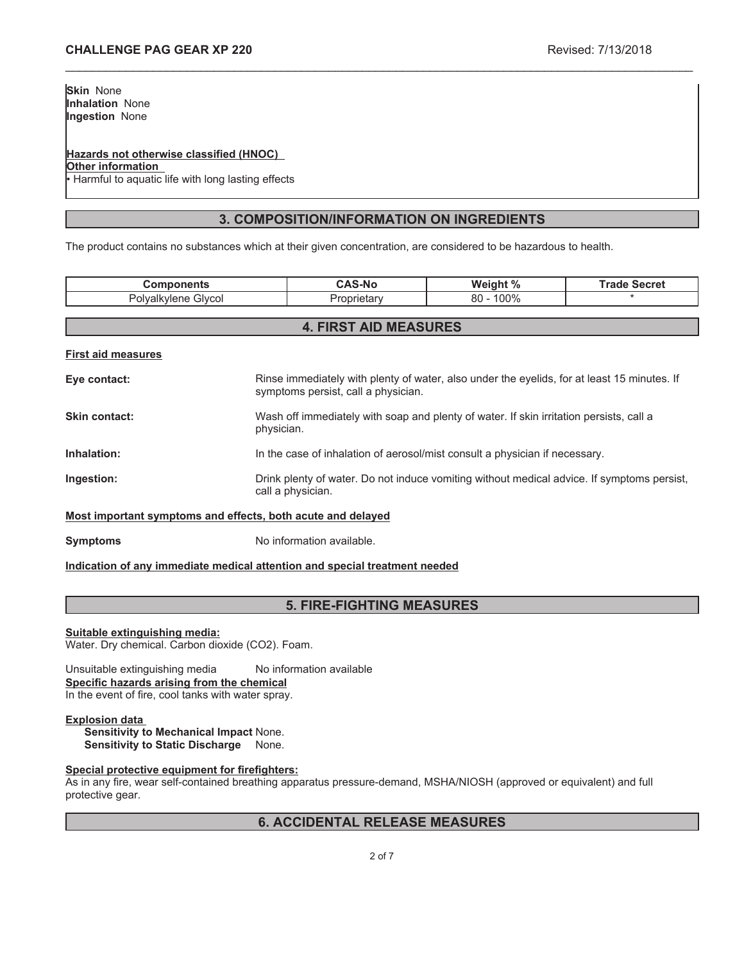# **Hazards not otherwise classified (HNOC)**

**Other information**

Harmful to aquatic life with long lasting effects

# **3. COMPOSITION/INFORMATION ON INGREDIENTS**

\_\_\_\_\_\_\_\_\_\_\_\_\_\_\_\_\_\_\_\_\_\_\_\_\_\_\_\_\_\_\_\_\_\_\_\_\_\_\_\_\_\_\_\_\_\_\_\_\_\_\_\_\_\_\_\_\_\_\_\_\_\_\_\_\_\_\_\_\_\_\_\_\_\_\_\_\_\_\_\_\_\_\_\_\_\_\_\_\_\_\_\_\_

The product contains no substances which at their given concentration, are considered to be hazardous to health.

| <b>Components</b>                                           |                                                                                                                                    | <b>CAS-No</b> | Weight %     | <b>Trade Secret</b> |
|-------------------------------------------------------------|------------------------------------------------------------------------------------------------------------------------------------|---------------|--------------|---------------------|
| Polyalkylene Glycol                                         |                                                                                                                                    | Proprietary   | $80 - 100\%$ |                     |
|                                                             |                                                                                                                                    |               |              |                     |
| <b>4. FIRST AID MEASURES</b>                                |                                                                                                                                    |               |              |                     |
| <b>First aid measures</b>                                   |                                                                                                                                    |               |              |                     |
| Eye contact:                                                | Rinse immediately with plenty of water, also under the eyelids, for at least 15 minutes. If<br>symptoms persist, call a physician. |               |              |                     |
| Skin contact:                                               | Wash off immediately with soap and plenty of water. If skin irritation persists, call a<br>physician.                              |               |              |                     |
| Inhalation:                                                 | In the case of inhalation of aerosol/mist consult a physician if necessary.                                                        |               |              |                     |
| Ingestion:                                                  | Drink plenty of water. Do not induce vomiting without medical advice. If symptoms persist,<br>call a physician.                    |               |              |                     |
| Most important symptoms and effects, both acute and delayed |                                                                                                                                    |               |              |                     |

**Symptoms** No information available.

## **Indication of any immediate medical attention and special treatment needed**

# **5. FIRE-FIGHTING MEASURES**

## **Suitable extinguishing media:**

Water. Dry chemical. Carbon dioxide (CO2). Foam.

Unsuitable extinguishing media No information available **Specific hazards arising from the chemical** In the event of fire, cool tanks with water spray.

## **Explosion data**

**Sensitivity to Mechanical Impact** None. **Sensitivity to Static Discharge** None.

## **Special protective equipment for firefighters:**

As in any fire, wear self-contained breathing apparatus pressure-demand, MSHA/NIOSH (approved or equivalent) and full protective gear.

# **6. ACCIDENTAL RELEASE MEASURES**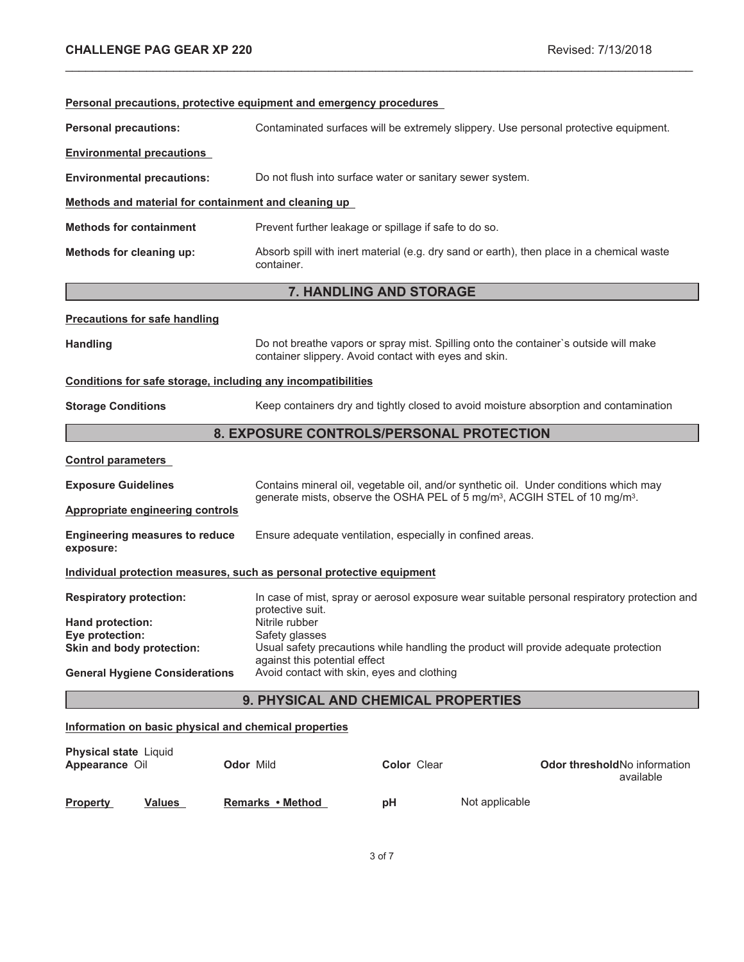| Personal precautions, protective equipment and emergency procedures   |                                                                                                                                                                                       |                                                                                                                                               |                                                                                              |
|-----------------------------------------------------------------------|---------------------------------------------------------------------------------------------------------------------------------------------------------------------------------------|-----------------------------------------------------------------------------------------------------------------------------------------------|----------------------------------------------------------------------------------------------|
| <b>Personal precautions:</b>                                          |                                                                                                                                                                                       | Contaminated surfaces will be extremely slippery. Use personal protective equipment.                                                          |                                                                                              |
| <b>Environmental precautions</b>                                      |                                                                                                                                                                                       |                                                                                                                                               |                                                                                              |
| <b>Environmental precautions:</b>                                     |                                                                                                                                                                                       | Do not flush into surface water or sanitary sewer system.                                                                                     |                                                                                              |
| Methods and material for containment and cleaning up                  |                                                                                                                                                                                       |                                                                                                                                               |                                                                                              |
| <b>Methods for containment</b>                                        |                                                                                                                                                                                       | Prevent further leakage or spillage if safe to do so.                                                                                         |                                                                                              |
| Methods for cleaning up:                                              | container.                                                                                                                                                                            | Absorb spill with inert material (e.g. dry sand or earth), then place in a chemical waste                                                     |                                                                                              |
|                                                                       |                                                                                                                                                                                       | 7. HANDLING AND STORAGE                                                                                                                       |                                                                                              |
| <b>Precautions for safe handling</b>                                  |                                                                                                                                                                                       |                                                                                                                                               |                                                                                              |
| <b>Handling</b>                                                       |                                                                                                                                                                                       | Do not breathe vapors or spray mist. Spilling onto the container's outside will make<br>container slippery. Avoid contact with eyes and skin. |                                                                                              |
| Conditions for safe storage, including any incompatibilities          |                                                                                                                                                                                       |                                                                                                                                               |                                                                                              |
| <b>Storage Conditions</b>                                             |                                                                                                                                                                                       | Keep containers dry and tightly closed to avoid moisture absorption and contamination                                                         |                                                                                              |
| 8. EXPOSURE CONTROLS/PERSONAL PROTECTION                              |                                                                                                                                                                                       |                                                                                                                                               |                                                                                              |
| <b>Control parameters</b>                                             |                                                                                                                                                                                       |                                                                                                                                               |                                                                                              |
| <b>Exposure Guidelines</b>                                            |                                                                                                                                                                                       | Contains mineral oil, vegetable oil, and/or synthetic oil. Under conditions which may                                                         |                                                                                              |
| <b>Appropriate engineering controls</b>                               | generate mists, observe the OSHA PEL of 5 mg/m <sup>3</sup> , ACGIH STEL of 10 mg/m <sup>3</sup> .                                                                                    |                                                                                                                                               |                                                                                              |
| <b>Engineering measures to reduce</b><br>exposure:                    |                                                                                                                                                                                       | Ensure adequate ventilation, especially in confined areas.                                                                                    |                                                                                              |
| Individual protection measures, such as personal protective equipment |                                                                                                                                                                                       |                                                                                                                                               |                                                                                              |
| <b>Respiratory protection:</b>                                        | protective suit.                                                                                                                                                                      |                                                                                                                                               | In case of mist, spray or aerosol exposure wear suitable personal respiratory protection and |
| Hand protection:                                                      | Nitrile rubber                                                                                                                                                                        |                                                                                                                                               |                                                                                              |
| Eye protection:<br>Skin and body protection:                          | Safety glasses<br>Usual safety precautions while handling the product will provide adequate protection<br>against this potential effect<br>Avoid contact with skin, eyes and clothing |                                                                                                                                               |                                                                                              |
| <b>General Hygiene Considerations</b>                                 |                                                                                                                                                                                       |                                                                                                                                               |                                                                                              |
| 9. PHYSICAL AND CHEMICAL PROPERTIES                                   |                                                                                                                                                                                       |                                                                                                                                               |                                                                                              |
| Information on basic physical and chemical properties                 |                                                                                                                                                                                       |                                                                                                                                               |                                                                                              |
| <b>Physical state Liquid</b><br>Appearance Oil                        | <b>Odor Mild</b>                                                                                                                                                                      | <b>Color Clear</b>                                                                                                                            | Odor threshold No information<br>available                                                   |

\_\_\_\_\_\_\_\_\_\_\_\_\_\_\_\_\_\_\_\_\_\_\_\_\_\_\_\_\_\_\_\_\_\_\_\_\_\_\_\_\_\_\_\_\_\_\_\_\_\_\_\_\_\_\_\_\_\_\_\_\_\_\_\_\_\_\_\_\_\_\_\_\_\_\_\_\_\_\_\_\_\_\_\_\_\_\_\_\_\_\_\_\_

**Not applicable**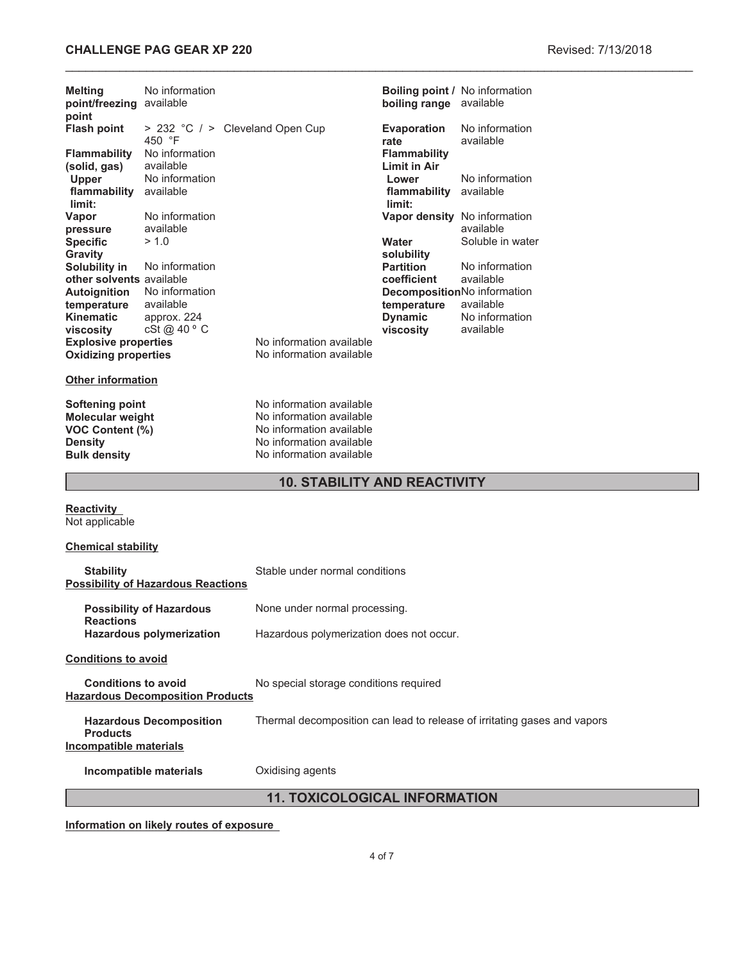# **CHALLENGE PAG GEAR XP 220 Revised: 7/13/2018**

| <b>Melting</b><br>point/freezing available<br>point                                                    | No information                            |                                                                                                                                          | boiling range available                    | <b>Boiling point / No information</b>     |  |
|--------------------------------------------------------------------------------------------------------|-------------------------------------------|------------------------------------------------------------------------------------------------------------------------------------------|--------------------------------------------|-------------------------------------------|--|
| <b>Flash point</b>                                                                                     | 450 °F                                    | > 232 °C / > Cleveland Open Cup                                                                                                          | <b>Evaporation</b><br>rate                 | No information<br>available               |  |
| <b>Flammability</b><br>(solid, gas)                                                                    | No information<br>available               |                                                                                                                                          | <b>Flammability</b><br><b>Limit in Air</b> |                                           |  |
| Upper<br>flammability<br>limit:                                                                        | No information<br>available               |                                                                                                                                          | Lower<br>flammability available<br>limit:  | No information                            |  |
| Vapor<br>pressure                                                                                      | No information<br>available               |                                                                                                                                          |                                            | Vapor density No information<br>available |  |
| <b>Specific</b><br><b>Gravity</b><br>Solubility in                                                     | > 1.0<br>No information                   |                                                                                                                                          | Water<br>solubility<br><b>Partition</b>    | Soluble in water<br>No information        |  |
| other solvents available<br>Autoignition                                                               | No information                            |                                                                                                                                          | coefficient                                | available<br>DecompositionNo information  |  |
| temperature<br><b>Kinematic</b><br>viscosity                                                           | available<br>approx. 224<br>cSt @ 40 ° C  |                                                                                                                                          | temperature<br><b>Dynamic</b><br>viscosity | available<br>No information<br>available  |  |
| <b>Explosive properties</b><br><b>Oxidizing properties</b>                                             |                                           | No information available<br>No information available                                                                                     |                                            |                                           |  |
| <b>Other information</b>                                                                               |                                           |                                                                                                                                          |                                            |                                           |  |
| <b>Softening point</b><br>Molecular weight<br>VOC Content (%)<br><b>Density</b><br><b>Bulk density</b> |                                           | No information available<br>No information available<br>No information available<br>No information available<br>No information available |                                            |                                           |  |
| <b>10. STABILITY AND REACTIVITY</b>                                                                    |                                           |                                                                                                                                          |                                            |                                           |  |
| <b>Reactivity</b><br>Not applicable                                                                    |                                           |                                                                                                                                          |                                            |                                           |  |
| <b>Chemical stability</b>                                                                              |                                           |                                                                                                                                          |                                            |                                           |  |
| <b>Stability</b>                                                                                       | <b>Possibility of Hazardous Reactions</b> | Stable under normal conditions                                                                                                           |                                            |                                           |  |
| <b>Reactions</b>                                                                                       | <b>Possibility of Hazardous</b>           | None under normal processing.                                                                                                            |                                            |                                           |  |
|                                                                                                        | <b>Hazardous polymerization</b>           | Hazardous polymerization does not occur.                                                                                                 |                                            |                                           |  |
| <b>Conditions to avoid</b>                                                                             |                                           |                                                                                                                                          |                                            |                                           |  |
| <b>Conditions to avoid</b>                                                                             | <b>Hazardous Decomposition Products</b>   | No special storage conditions required                                                                                                   |                                            |                                           |  |
|                                                                                                        |                                           |                                                                                                                                          |                                            |                                           |  |

**Hazardous Decomposition Products** Thermal decomposition can lead to release of irritating gases and vapors **Incompatible materials**

**Incompatible materials Oxidising agents** 

**11. TOXICOLOGICAL INFORMATION**

**Information on likely routes of exposure**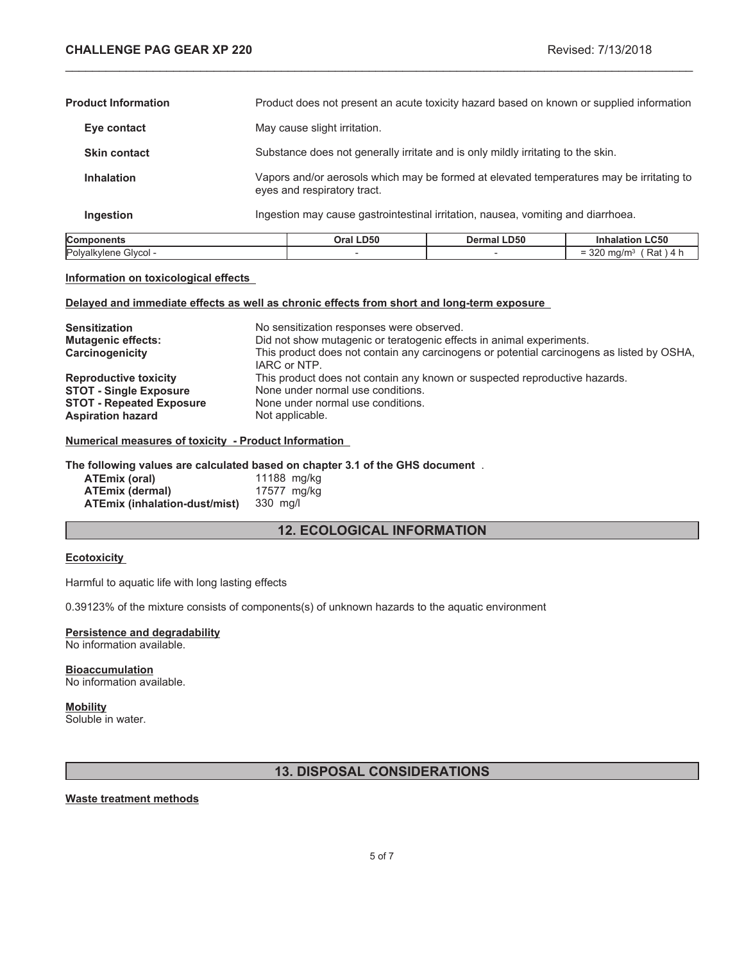$= 320$  mg/m<sup>3</sup> (Rat ) 4 h

| Components                 | Oral LD50                                                                                                               | <b>Dermal LD50</b>                                                                       | <b>Inhalation LC50</b> |
|----------------------------|-------------------------------------------------------------------------------------------------------------------------|------------------------------------------------------------------------------------------|------------------------|
| Ingestion                  |                                                                                                                         | Ingestion may cause gastrointestinal irritation, nausea, vomiting and diarrhoea.         |                        |
| <b>Inhalation</b>          | Vapors and/or aerosols which may be formed at elevated temperatures may be irritating to<br>eyes and respiratory tract. |                                                                                          |                        |
| <b>Skin contact</b>        |                                                                                                                         | Substance does not generally irritate and is only mildly irritating to the skin.         |                        |
| Eye contact                | May cause slight irritation.                                                                                            |                                                                                          |                        |
| <b>Product Information</b> |                                                                                                                         | Product does not present an acute toxicity hazard based on known or supplied information |                        |

\_\_\_\_\_\_\_\_\_\_\_\_\_\_\_\_\_\_\_\_\_\_\_\_\_\_\_\_\_\_\_\_\_\_\_\_\_\_\_\_\_\_\_\_\_\_\_\_\_\_\_\_\_\_\_\_\_\_\_\_\_\_\_\_\_\_\_\_\_\_\_\_\_\_\_\_\_\_\_\_\_\_\_\_\_\_\_\_\_\_\_\_\_

#### **Information on toxicological effects**

## **Delayed and immediate effects as well as chronic effects from short and long-term exposure**

Polyalkylene Glycol -  $\overline{\phantom{a}}$  -  $\overline{\phantom{a}}$  -

| <b>Sensitization</b><br><b>Mutagenic effects:</b><br>Carcinogenicity | No sensitization responses were observed.<br>Did not show mutagenic or teratogenic effects in animal experiments.<br>This product does not contain any carcinogens or potential carcinogens as listed by OSHA,<br>IARC or NTP. |
|----------------------------------------------------------------------|--------------------------------------------------------------------------------------------------------------------------------------------------------------------------------------------------------------------------------|
| <b>Reproductive toxicity</b>                                         | This product does not contain any known or suspected reproductive hazards.                                                                                                                                                     |
| <b>STOT - Single Exposure</b>                                        | None under normal use conditions.                                                                                                                                                                                              |
| <b>STOT - Repeated Exposure</b>                                      | None under normal use conditions.                                                                                                                                                                                              |
| <b>Aspiration hazard</b>                                             | Not applicable.                                                                                                                                                                                                                |

## **Numerical measures of toxicity - Product Information**

#### **The following values are calculated based on chapter 3.1 of the GHS document** .

| ATEmix (oral)                 | 11188 mg/kg |
|-------------------------------|-------------|
| <b>ATEmix (dermal)</b>        | 17577 mg/kg |
| ATEmix (inhalation-dust/mist) | 330 mg/l    |

# **12. ECOLOGICAL INFORMATION**

#### **Ecotoxicity**

Harmful to aquatic life with long lasting effects

0.39123% of the mixture consists of components(s) of unknown hazards to the aquatic environment

# **Persistence and degradability**

No information available.

#### **Bioaccumulation** No information available.

# **Mobility**

Soluble in water.

# **13. DISPOSAL CONSIDERATIONS**

## **Waste treatment methods**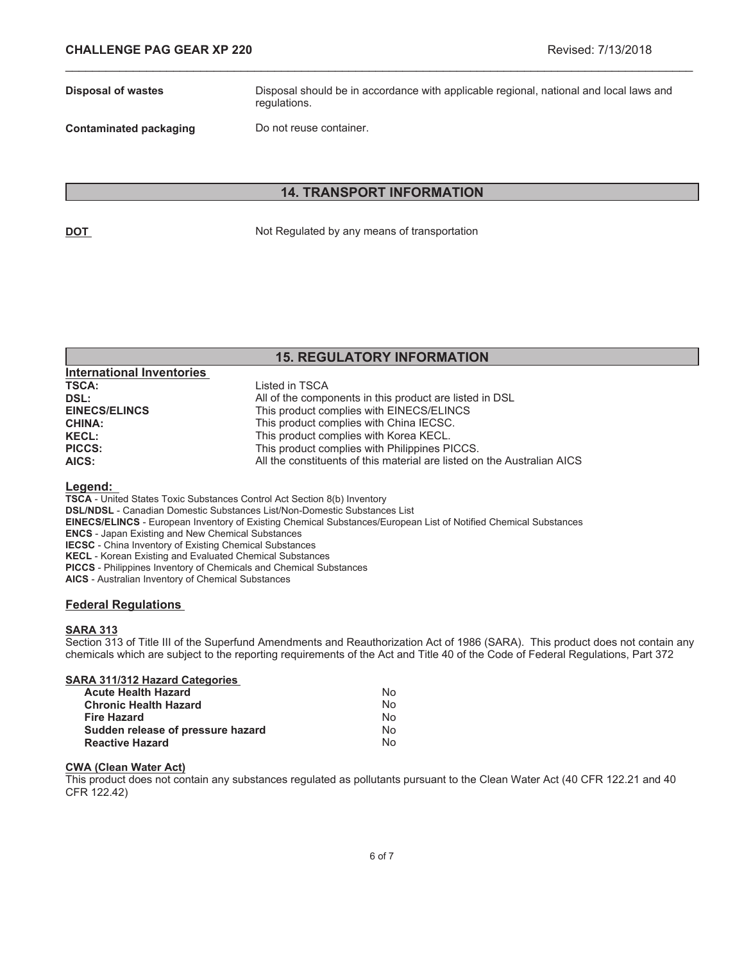**Disposal of wastes** Disposal should be in accordance with applicable regional, national and local laws and regulations.

**Contaminated packaging Do not reuse container.** 

**International Inventories** 

# **14. TRANSPORT INFORMATION**

\_\_\_\_\_\_\_\_\_\_\_\_\_\_\_\_\_\_\_\_\_\_\_\_\_\_\_\_\_\_\_\_\_\_\_\_\_\_\_\_\_\_\_\_\_\_\_\_\_\_\_\_\_\_\_\_\_\_\_\_\_\_\_\_\_\_\_\_\_\_\_\_\_\_\_\_\_\_\_\_\_\_\_\_\_\_\_\_\_\_\_\_\_

**DOT** Not Regulated by any means of transportation

# **15. REGULATORY INFORMATION**

| 1110111011011111001100 |                                                                         |
|------------------------|-------------------------------------------------------------------------|
| <b>TSCA:</b>           | Listed in TSCA                                                          |
| DSL:                   | All of the components in this product are listed in DSL                 |
| <b>EINECS/ELINCS</b>   | This product complies with EINECS/ELINCS                                |
| <b>CHINA:</b>          | This product complies with China IECSC.                                 |
| <b>KECL:</b>           | This product complies with Korea KECL.                                  |
| <b>PICCS:</b>          | This product complies with Philippines PICCS.                           |
| AICS:                  | All the constituents of this material are listed on the Australian AICS |
|                        |                                                                         |

#### **Legend:**

**TSCA** - United States Toxic Substances Control Act Section 8(b) Inventory

**DSL/NDSL** - Canadian Domestic Substances List/Non-Domestic Substances List

**EINECS/ELINCS** - European Inventory of Existing Chemical Substances/European List of Notified Chemical Substances

**ENCS** - Japan Existing and New Chemical Substances

**IECSC** - China Inventory of Existing Chemical Substances

**KECL** - Korean Existing and Evaluated Chemical Substances

**PICCS** - Philippines Inventory of Chemicals and Chemical Substances

**AICS** - Australian Inventory of Chemical Substances

## **Federal Regulations**

## **SARA 313**

Section 313 of Title III of the Superfund Amendments and Reauthorization Act of 1986 (SARA). This product does not contain any chemicals which are subject to the reporting requirements of the Act and Title 40 of the Code of Federal Regulations, Part 372

| N٥ |
|----|
| N٥ |
| N٥ |
| N٥ |
| N٥ |
|    |

#### **CWA (Clean Water Act)**

This product does not contain any substances regulated as pollutants pursuant to the Clean Water Act (40 CFR 122.21 and 40 CFR 122.42)